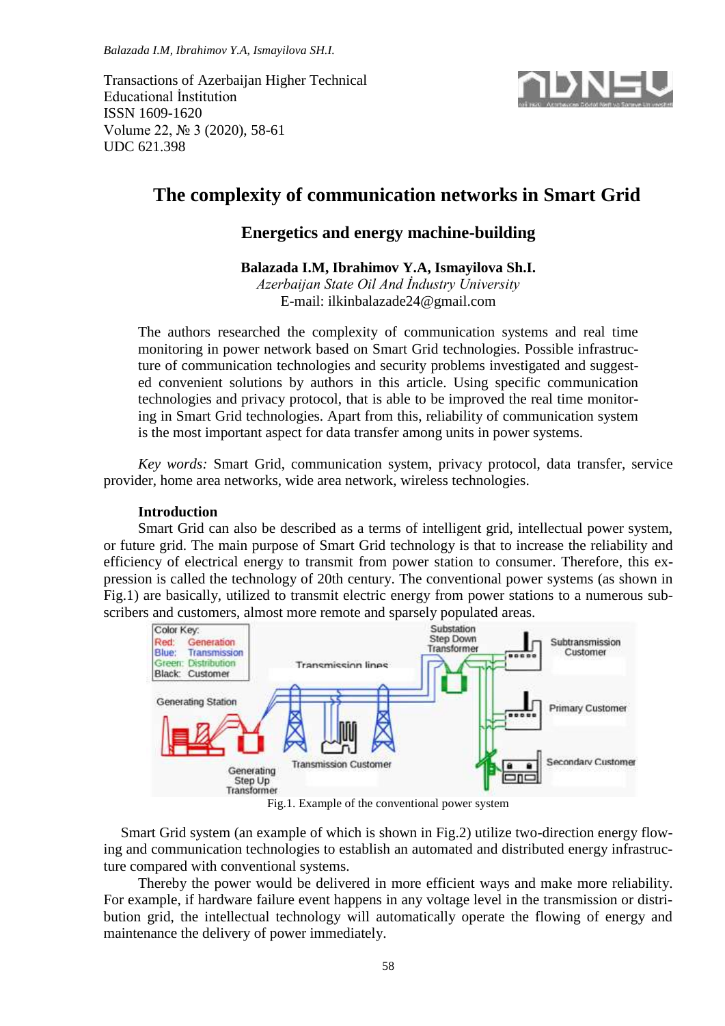*Balazada I.M, Ibrahimov Y.A, Ismayilova SH.I.*

Transactions of Azerbaijan Higher Technical Educational İnstitution ISSN 1609-1620 Volume 22, № 3 (2020), 58-61 UDC 621.398



# **The complexity of communication networks in Smart Grid**

# **Energetics and energy machine-building**

# **Balazada I.M, Ibrahimov Y.A, Ismayilova Sh.I.**

*Azerbaijan State Oil And İndustry University* E-mail: ilkinbalazade24@gmail.com

The authors researched the complexity of communication systems and real time monitoring in power network based on Smart Grid technologies. Possible infrastructure of communication technologies and security problems investigated and suggested convenient solutions by authors in this article. Using specific communication technologies and privacy protocol, that is able to be improved the real time monitoring in Smart Grid technologies. Apart from this, reliability of communication system is the most important aspect for data transfer among units in power systems.

*Key words:* Smart Grid, communication system, privacy protocol, data transfer, service provider, home area networks, wide area network, wireless technologies.

### **Introduction**

Smart Grid can also be described as a terms of intelligent grid, intellectual power system, or future grid. The main purpose of Smart Grid technology is that to increase the reliability and efficiency of electrical energy to transmit from power station to consumer. Therefore, this expression is called the technology of 20th century. The conventional power systems (as shown in Fig.1) are basically, utilized to transmit electric energy from power stations to a numerous subscribers and customers, almost more remote and sparsely populated areas.



Fig.1. Example of the conventional power system

Smart Grid system (an example of which is shown in Fig.2) utilize two-direction energy flowing and communication technologies to establish an automated and distributed energy infrastructure compared with conventional systems.

Thereby the power would be delivered in more efficient ways and make more reliability. For example, if hardware failure event happens in any voltage level in the transmission or distribution grid, the intellectual technology will automatically operate the flowing of energy and maintenance the delivery of power immediately.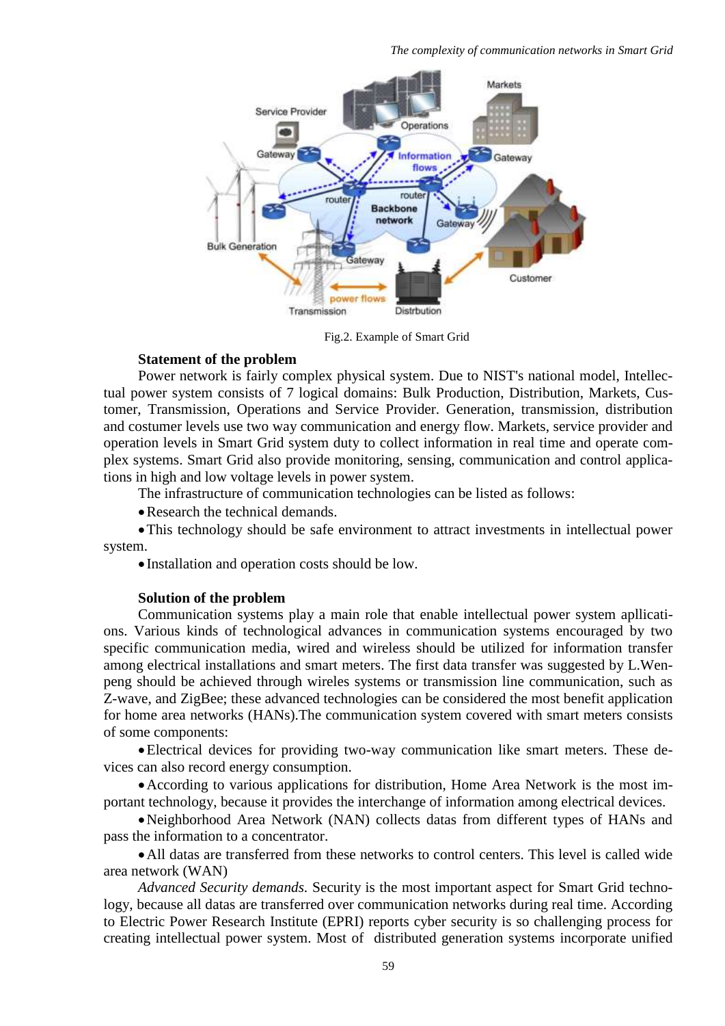

Fig.2. Example of Smart Grid

# **Statement of the problem**

Power network is fairly complex physical system. Due to NIST's national model, Intellectual power system consists of 7 logical domains: Bulk Production, Distribution, Markets, Customer, Transmission, Operations and Service Provider. Generation, transmission, distribution and costumer levels use two way communication and energy flow. Markets, service provider and operation levels in Smart Grid system duty to collect information in real time and operate complex systems. Smart Grid also provide monitoring, sensing, communication and control applications in high and low voltage levels in power system.

The infrastructure of communication technologies can be listed as follows:

Research the technical demands.

This technology should be safe environment to attract investments in intellectual power system.

• Installation and operation costs should be low.

#### **Solution of the problem**

Communication systems play a main role that enable intellectual power system apllications. Various kinds of technological advances in communication systems encouraged by two specific communication media, wired and wireless should be utilized for information transfer among electrical installations and smart meters. The first data transfer was suggested by L.Wenpeng should be achieved through wireles systems or transmission line communication, such as Z-wave, and ZigBee; these advanced technologies can be considered the most benefit application for home area networks (HANs).The communication system covered with smart meters consists of some components:

Electrical devices for providing two-way communication like smart meters. These devices can also record energy consumption.

According to various applications for distribution, Home Area Network is the most important technology, because it provides the interchange of information among electrical devices.

Neighborhood Area Network (NAN) collects datas from different types of HANs and pass the information to a concentrator.

All datas are transferred from these networks to control centers. This level is called wide area network (WAN)

*Advanced Security demands.* Security is the most important aspect for Smart Grid technology, because all datas are transferred over communication networks during real time. According to Electric Power Research Institute (EPRI) reports cyber security is so challenging process for creating intellectual power system. Most of distributed generation systems incorporate unified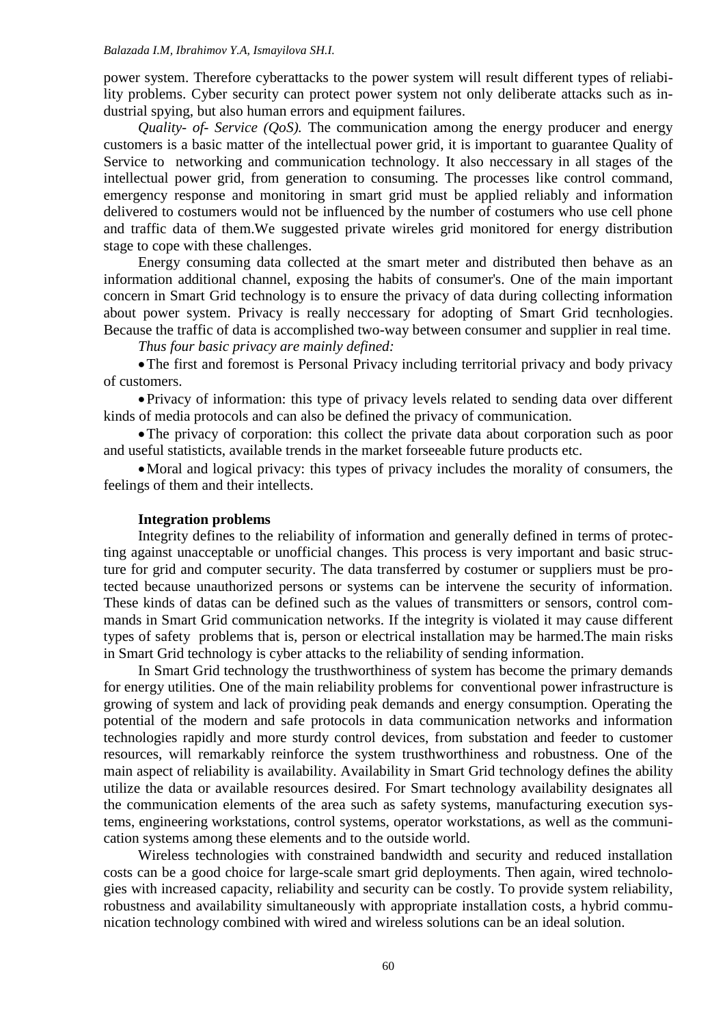#### *Balazada I.M, Ibrahimov Y.A, Ismayilova SH.I.*

power system. Therefore cyberattacks to the power system will result different types of reliability problems. Cyber security can protect power system not only deliberate attacks such as industrial spying, but also human errors and equipment failures.

*Quality- of- Service (QoS).* The communication among the energy producer and energy customers is a basic matter of the intellectual power grid, it is important to guarantee Quality of Service to networking and communication technology. It also neccessary in all stages of the intellectual power grid, from generation to consuming. The processes like control command, emergency response and monitoring in smart grid must be applied reliably and information delivered to costumers would not be influenced by the number of costumers who use cell phone and traffic data of them.We suggested private wireles grid monitored for energy distribution stage to cope with these challenges.

Energy consuming data collected at the smart meter and distributed then behave as an information additional channel, exposing the habits of consumer's. One of the main important concern in Smart Grid technology is to ensure the privacy of data during collecting information about power system. Privacy is really neccessary for adopting of Smart Grid tecnhologies. Because the traffic of data is accomplished two-way between consumer and supplier in real time.

*Thus four basic privacy are mainly defined:*

The first and foremost is Personal Privacy including territorial privacy and body privacy of customers.

Privacy of information: this type of privacy levels related to sending data over different kinds of media protocols and can also be defined the privacy of communication.

The privacy of corporation: this collect the private data about corporation such as poor and useful statisticts, available trends in the market forseeable future products etc.

Moral and logical privacy: this types of privacy includes the morality of consumers, the feelings of them and their intellects.

#### **Integration problems**

Integrity defines to the reliability of information and generally defined in terms of protecting against unacceptable or unofficial changes. This process is very important and basic structure for grid and computer security. The data transferred by costumer or suppliers must be protected because unauthorized persons or systems can be intervene the security of information. These kinds of datas can be defined such as the values of transmitters or sensors, control commands in Smart Grid communication networks. If the integrity is violated it may cause different types of safety problems that is, person or electrical installation may be harmed.The main risks in Smart Grid technology is cyber attacks to the reliability of sending information.

In Smart Grid technology the trusthworthiness of system has become the primary demands for energy utilities. One of the main reliability problems for conventional power infrastructure is growing of system and lack of providing peak demands and energy consumption. Operating the potential of the modern and safe protocols in data communication networks and information technologies rapidly and more sturdy control devices, from substation and feeder to customer resources, will remarkably reinforce the system trusthworthiness and robustness. One of the main aspect of reliability is availability. Availability in Smart Grid technology defines the ability utilize the data or available resources desired. For Smart technology availability designates all the communication elements of the area such as safety systems, manufacturing execution systems, engineering workstations, control systems, operator workstations, as well as the communication systems among these elements and to the outside world.

Wireless technologies with constrained bandwidth and security and reduced installation costs can be a good choice for large-scale smart grid deployments. Then again, wired technologies with increased capacity, reliability and security can be costly. To provide system reliability, robustness and availability simultaneously with appropriate installation costs, a hybrid communication technology combined with wired and wireless solutions can be an ideal solution.